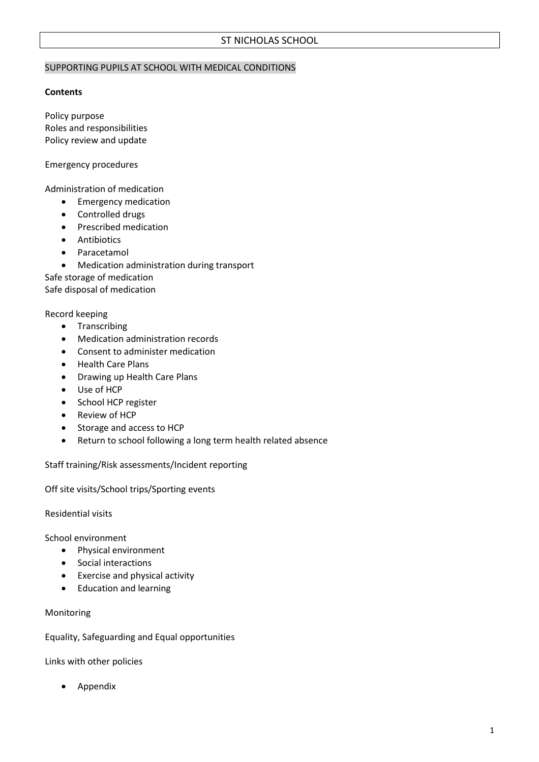### SUPPORTING PUPILS AT SCHOOL WITH MEDICAL CONDITIONS

### **Contents**

Policy purpose Roles and responsibilities Policy review and update

Emergency procedures

Administration of medication

- **•** Emergency medication
- Controlled drugs
- Prescribed medication
- **•** Antibiotics
- Paracetamol
- Medication administration during transport

Safe storage of medication

Safe disposal of medication

### Record keeping

- Transcribing
- Medication administration records
- Consent to administer medication
- Health Care Plans
- Drawing up Health Care Plans
- Use of HCP
- School HCP register
- Review of HCP
- Storage and access to HCP
- Return to school following a long term health related absence

Staff training/Risk assessments/Incident reporting

Off site visits/School trips/Sporting events

Residential visits

School environment

- Physical environment
- Social interactions
- Exercise and physical activity
- Education and learning

### Monitoring

Equality, Safeguarding and Equal opportunities

Links with other policies

Appendix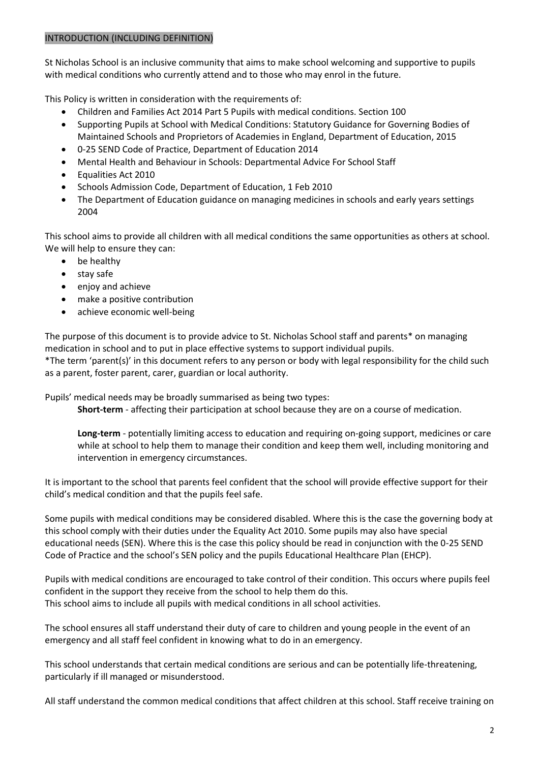### INTRODUCTION (INCLUDING DEFINITION)

St Nicholas School is an inclusive community that aims to make school welcoming and supportive to pupils with medical conditions who currently attend and to those who may enrol in the future.

This Policy is written in consideration with the requirements of:

- Children and Families Act 2014 Part 5 Pupils with medical conditions. Section 100
- Supporting Pupils at School with Medical Conditions: Statutory Guidance for Governing Bodies of Maintained Schools and Proprietors of Academies in England, Department of Education, 2015
- 0-25 SEND Code of Practice, Department of Education 2014
- Mental Health and Behaviour in Schools: Departmental Advice For School Staff
- Equalities Act 2010
- Schools Admission Code, Department of Education, 1 Feb 2010
- The Department of Education guidance on managing medicines in schools and early years settings 2004

This school aims to provide all children with all medical conditions the same opportunities as others at school. We will help to ensure they can:

- be healthy
- stay safe
- enjoy and achieve
- make a positive contribution
- achieve economic well-being

The purpose of this document is to provide advice to St. Nicholas School staff and parents\* on managing medication in school and to put in place effective systems to support individual pupils.

\*The term 'parent(s)' in this document refers to any person or body with legal responsibility for the child such as a parent, foster parent, carer, guardian or local authority.

Pupils' medical needs may be broadly summarised as being two types:

**Short-term** - affecting their participation at school because they are on a course of medication.

**Long-term** - potentially limiting access to education and requiring on-going support, medicines or care while at school to help them to manage their condition and keep them well, including monitoring and intervention in emergency circumstances.

It is important to the school that parents feel confident that the school will provide effective support for their child's medical condition and that the pupils feel safe.

Some pupils with medical conditions may be considered disabled. Where this is the case the governing body at this school comply with their duties under the Equality Act 2010. Some pupils may also have special educational needs (SEN). Where this is the case this policy should be read in conjunction with the 0-25 SEND Code of Practice and the school's SEN policy and the pupils Educational Healthcare Plan (EHCP).

Pupils with medical conditions are encouraged to take control of their condition. This occurs where pupils feel confident in the support they receive from the school to help them do this. This school aims to include all pupils with medical conditions in all school activities.

The school ensures all staff understand their duty of care to children and young people in the event of an emergency and all staff feel confident in knowing what to do in an emergency.

This school understands that certain medical conditions are serious and can be potentially life-threatening, particularly if ill managed or misunderstood.

All staff understand the common medical conditions that affect children at this school. Staff receive training on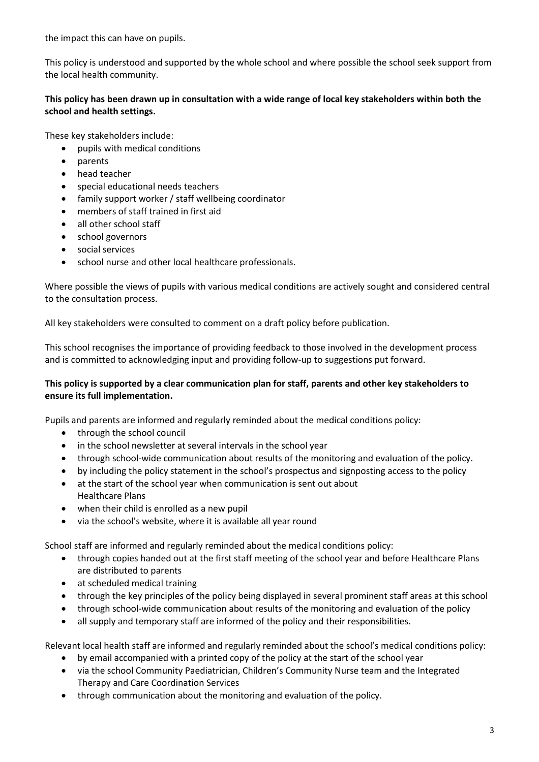the impact this can have on pupils.

This policy is understood and supported by the whole school and where possible the school seek support from the local health community.

# **This policy has been drawn up in consultation with a wide range of local key stakeholders within both the school and health settings.**

These key stakeholders include:

- pupils with medical conditions
- parents
- head teacher
- special educational needs teachers
- family support worker / staff wellbeing coordinator
- members of staff trained in first aid
- all other school staff
- school governors
- social services
- school nurse and other local healthcare professionals.

Where possible the views of pupils with various medical conditions are actively sought and considered central to the consultation process.

All key stakeholders were consulted to comment on a draft policy before publication.

This school recognises the importance of providing feedback to those involved in the development process and is committed to acknowledging input and providing follow-up to suggestions put forward.

# **This policy is supported by a clear communication plan for staff, parents and other key stakeholders to ensure its full implementation.**

Pupils and parents are informed and regularly reminded about the medical conditions policy:

- through the school council
- in the school newsletter at several intervals in the school year
- through school-wide communication about results of the monitoring and evaluation of the policy.
- by including the policy statement in the school's prospectus and signposting access to the policy
- at the start of the school year when communication is sent out about Healthcare Plans
- when their child is enrolled as a new pupil
- via the school's website, where it is available all year round

School staff are informed and regularly reminded about the medical conditions policy:

- through copies handed out at the first staff meeting of the school year and before Healthcare Plans are distributed to parents
- at scheduled medical training
- through the key principles of the policy being displayed in several prominent staff areas at this school
- through school-wide communication about results of the monitoring and evaluation of the policy
- all supply and temporary staff are informed of the policy and their responsibilities.

Relevant local health staff are informed and regularly reminded about the school's medical conditions policy:

- by email accompanied with a printed copy of the policy at the start of the school year
- via the school Community Paediatrician, Children's Community Nurse team and the Integrated Therapy and Care Coordination Services
- through communication about the monitoring and evaluation of the policy.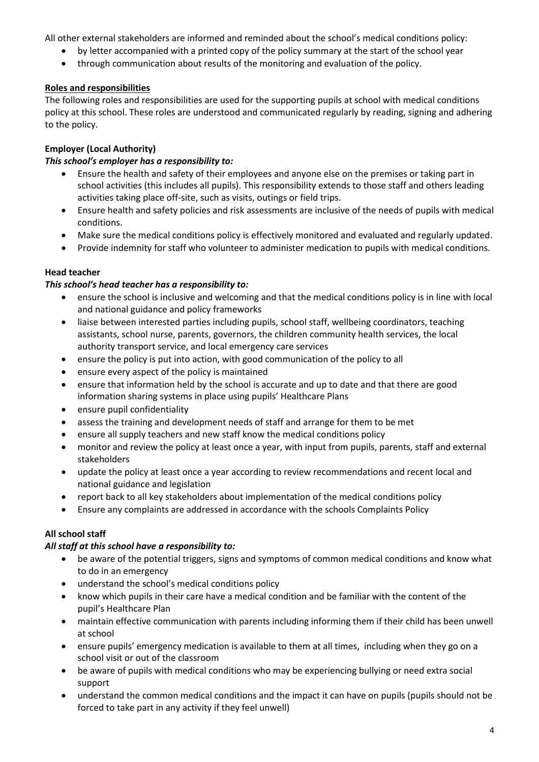All other external stakeholders are informed and reminded about the school's medical conditions policy:

- by letter accompanied with a printed copy of the policy summary at the start of the school year
- through communication about results of the monitoring and evaluation of the policy.

# **Roles and responsibilities**

The following roles and responsibilities are used for the supporting pupils at school with medical conditions policy at this school. These roles are understood and communicated regularly by reading, signing and adhering to the policy.

# **Employer (Local Authority)**

# *This school's employer has a responsibility to:*

- Ensure the health and safety of their employees and anyone else on the premises or taking part in school activities (this includes all pupils). This responsibility extends to those staff and others leading activities taking place off-site, such as visits, outings or field trips.
- Ensure health and safety policies and risk assessments are inclusive of the needs of pupils with medical conditions.
- Make sure the medical conditions policy is effectively monitored and evaluated and regularly updated.
- Provide indemnity for staff who volunteer to administer medication to pupils with medical conditions.

# **Head teacher**

# *This school's head teacher has a responsibility to:*

- ensure the school is inclusive and welcoming and that the medical conditions policy is in line with local and national guidance and policy frameworks
- liaise between interested parties including pupils, school staff, wellbeing coordinators, teaching assistants, school nurse, parents, governors, the children community health services, the local authority transport service, and local emergency care services
- ensure the policy is put into action, with good communication of the policy to all
- ensure every aspect of the policy is maintained
- ensure that information held by the school is accurate and up to date and that there are good information sharing systems in place using pupils' Healthcare Plans
- ensure pupil confidentiality
- assess the training and development needs of staff and arrange for them to be met
- ensure all supply teachers and new staff know the medical conditions policy
- monitor and review the policy at least once a year, with input from pupils, parents, staff and external stakeholders
- update the policy at least once a year according to review recommendations and recent local and national guidance and legislation
- report back to all key stakeholders about implementation of the medical conditions policy
- Ensure any complaints are addressed in accordance with the schools Complaints Policy

# **All school staff**

# *All staff at this school have a responsibility to:*

- be aware of the potential triggers, signs and symptoms of common medical conditions and know what to do in an emergency
- understand the school's medical conditions policy
- know which pupils in their care have a medical condition and be familiar with the content of the pupil's Healthcare Plan
- maintain effective communication with parents including informing them if their child has been unwell at school
- ensure pupils' emergency medication is available to them at all times, including when they go on a school visit or out of the classroom
- be aware of pupils with medical conditions who may be experiencing bullying or need extra social support
- understand the common medical conditions and the impact it can have on pupils (pupils should not be forced to take part in any activity if they feel unwell)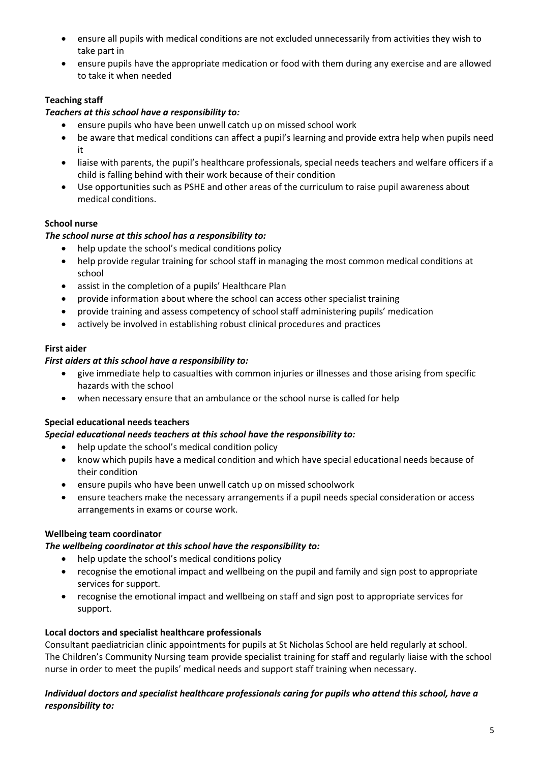- ensure all pupils with medical conditions are not excluded unnecessarily from activities they wish to take part in
- ensure pupils have the appropriate medication or food with them during any exercise and are allowed to take it when needed

# **Teaching staff**

# *Teachers at this school have a responsibility to:*

- ensure pupils who have been unwell catch up on missed school work
- be aware that medical conditions can affect a pupil's learning and provide extra help when pupils need it
- liaise with parents, the pupil's healthcare professionals, special needs teachers and welfare officers if a child is falling behind with their work because of their condition
- Use opportunities such as PSHE and other areas of the curriculum to raise pupil awareness about medical conditions.

# **School nurse**

# *The school nurse at this school has a responsibility to:*

- help update the school's medical conditions policy
- help provide regular training for school staff in managing the most common medical conditions at school
- assist in the completion of a pupils' Healthcare Plan
- provide information about where the school can access other specialist training
- provide training and assess competency of school staff administering pupils' medication
- actively be involved in establishing robust clinical procedures and practices

# **First aider**

# *First aiders at this school have a responsibility to:*

- give immediate help to casualties with common injuries or illnesses and those arising from specific hazards with the school
- when necessary ensure that an ambulance or the school nurse is called for help

# **Special educational needs teachers**

# *Special educational needs teachers at this school have the responsibility to:*

- help update the school's medical condition policy
- know which pupils have a medical condition and which have special educational needs because of their condition
- ensure pupils who have been unwell catch up on missed schoolwork
- ensure teachers make the necessary arrangements if a pupil needs special consideration or access arrangements in exams or course work.

# **Wellbeing team coordinator**

# *The wellbeing coordinator at this school have the responsibility to:*

- help update the school's medical conditions policy
- recognise the emotional impact and wellbeing on the pupil and family and sign post to appropriate services for support.
- recognise the emotional impact and wellbeing on staff and sign post to appropriate services for support.

# **Local doctors and specialist healthcare professionals**

Consultant paediatrician clinic appointments for pupils at St Nicholas School are held regularly at school. The Children's Community Nursing team provide specialist training for staff and regularly liaise with the school nurse in order to meet the pupils' medical needs and support staff training when necessary.

# *Individual doctors and specialist healthcare professionals caring for pupils who attend this school, have a responsibility to:*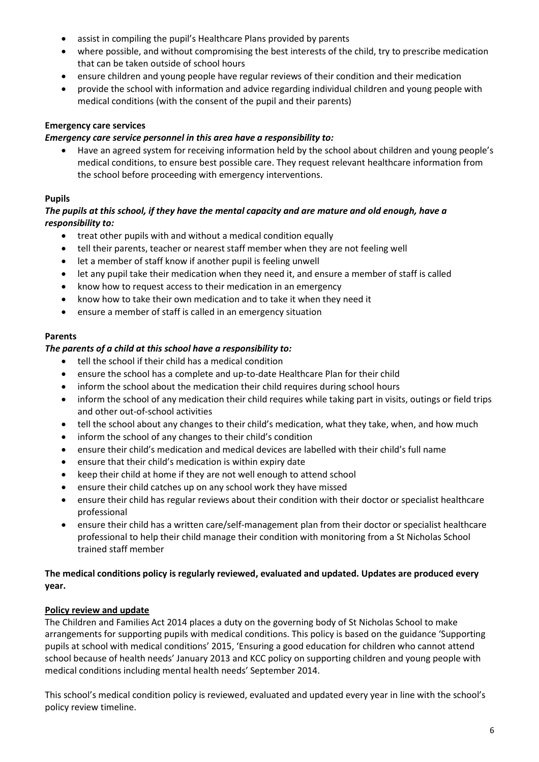- assist in compiling the pupil's Healthcare Plans provided by parents
- where possible, and without compromising the best interests of the child, try to prescribe medication that can be taken outside of school hours
- ensure children and young people have regular reviews of their condition and their medication
- provide the school with information and advice regarding individual children and young people with medical conditions (with the consent of the pupil and their parents)

# **Emergency care services**

# *Emergency care service personnel in this area have a responsibility to:*

 Have an agreed system for receiving information held by the school about children and young people's medical conditions, to ensure best possible care. They request relevant healthcare information from the school before proceeding with emergency interventions.

# **Pupils**

# *The pupils at this school, if they have the mental capacity and are mature and old enough, have a responsibility to:*

- treat other pupils with and without a medical condition equally
- tell their parents, teacher or nearest staff member when they are not feeling well
- let a member of staff know if another pupil is feeling unwell
- let any pupil take their medication when they need it, and ensure a member of staff is called
- know how to request access to their medication in an emergency
- know how to take their own medication and to take it when they need it
- ensure a member of staff is called in an emergency situation

# **Parents**

# *The parents of a child at this school have a responsibility to:*

- tell the school if their child has a medical condition
- ensure the school has a complete and up-to-date Healthcare Plan for their child
- inform the school about the medication their child requires during school hours
- inform the school of any medication their child requires while taking part in visits, outings or field trips and other out-of-school activities
- tell the school about any changes to their child's medication, what they take, when, and how much
- inform the school of any changes to their child's condition
- ensure their child's medication and medical devices are labelled with their child's full name
- ensure that their child's medication is within expiry date
- keep their child at home if they are not well enough to attend school
- ensure their child catches up on any school work they have missed
- ensure their child has regular reviews about their condition with their doctor or specialist healthcare professional
- ensure their child has a written care/self-management plan from their doctor or specialist healthcare professional to help their child manage their condition with monitoring from a St Nicholas School trained staff member

# **The medical conditions policy is regularly reviewed, evaluated and updated. Updates are produced every year.**

# **Policy review and update**

The Children and Families Act 2014 places a duty on the governing body of St Nicholas School to make arrangements for supporting pupils with medical conditions. This policy is based on the guidance 'Supporting pupils at school with medical conditions' 2015, 'Ensuring a good education for children who cannot attend school because of health needs' January 2013 and KCC policy on supporting children and young people with medical conditions including mental health needs' September 2014.

This school's medical condition policy is reviewed, evaluated and updated every year in line with the school's policy review timeline.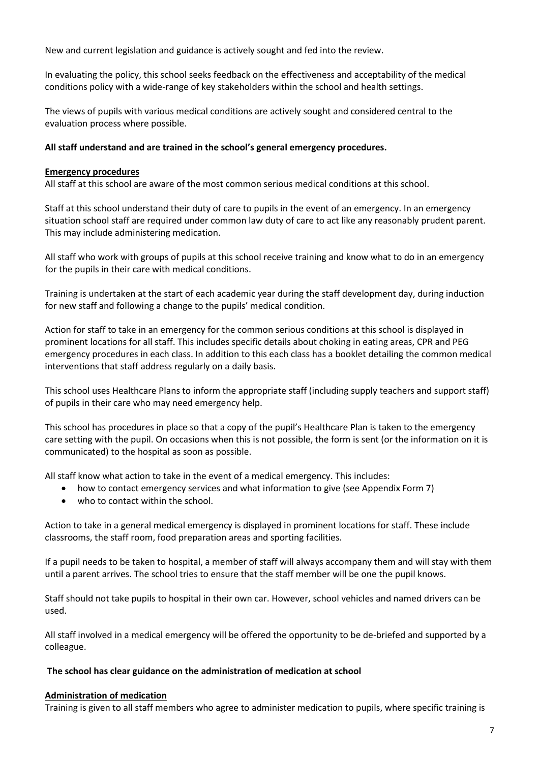New and current legislation and guidance is actively sought and fed into the review.

In evaluating the policy, this school seeks feedback on the effectiveness and acceptability of the medical conditions policy with a wide-range of key stakeholders within the school and health settings.

The views of pupils with various medical conditions are actively sought and considered central to the evaluation process where possible.

### **All staff understand and are trained in the school's general emergency procedures.**

### **Emergency procedures**

All staff at this school are aware of the most common serious medical conditions at this school.

Staff at this school understand their duty of care to pupils in the event of an emergency. In an emergency situation school staff are required under common law duty of care to act like any reasonably prudent parent. This may include administering medication.

All staff who work with groups of pupils at this school receive training and know what to do in an emergency for the pupils in their care with medical conditions.

Training is undertaken at the start of each academic year during the staff development day, during induction for new staff and following a change to the pupils' medical condition.

Action for staff to take in an emergency for the common serious conditions at this school is displayed in prominent locations for all staff. This includes specific details about choking in eating areas, CPR and PEG emergency procedures in each class. In addition to this each class has a booklet detailing the common medical interventions that staff address regularly on a daily basis.

This school uses Healthcare Plans to inform the appropriate staff (including supply teachers and support staff) of pupils in their care who may need emergency help.

This school has procedures in place so that a copy of the pupil's Healthcare Plan is taken to the emergency care setting with the pupil. On occasions when this is not possible, the form is sent (or the information on it is communicated) to the hospital as soon as possible.

All staff know what action to take in the event of a medical emergency. This includes:

- how to contact emergency services and what information to give (see Appendix Form 7)
- who to contact within the school.

Action to take in a general medical emergency is displayed in prominent locations for staff. These include classrooms, the staff room, food preparation areas and sporting facilities.

If a pupil needs to be taken to hospital, a member of staff will always accompany them and will stay with them until a parent arrives. The school tries to ensure that the staff member will be one the pupil knows.

Staff should not take pupils to hospital in their own car. However, school vehicles and named drivers can be used.

All staff involved in a medical emergency will be offered the opportunity to be de-briefed and supported by a colleague.

### **The school has clear guidance on the administration of medication at school**

### **Administration of medication**

Training is given to all staff members who agree to administer medication to pupils, where specific training is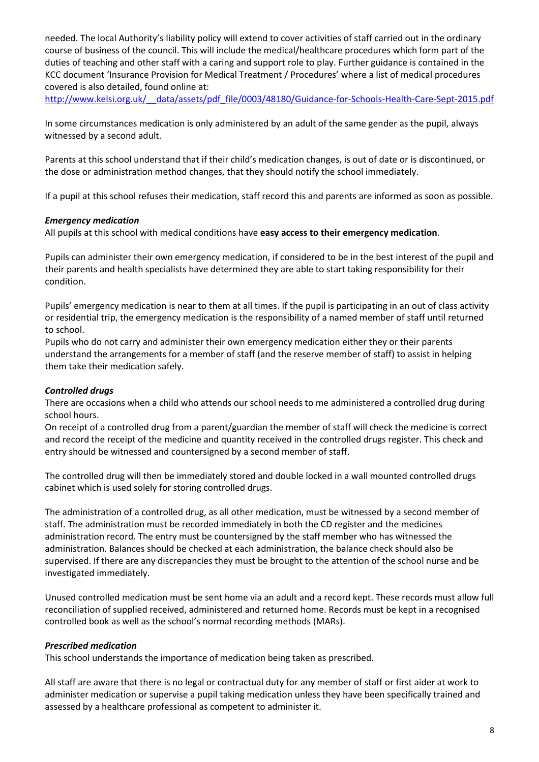needed. The local Authority's liability policy will extend to cover activities of staff carried out in the ordinary course of business of the council. This will include the medical/healthcare procedures which form part of the duties of teaching and other staff with a caring and support role to play. Further guidance is contained in the KCC document 'Insurance Provision for Medical Treatment / Procedures' where a list of medical procedures covered is also detailed, found online at:

[http://www.kelsi.org.uk/\\_\\_data/assets/pdf\\_file/0003/48180/Guidance-for-Schools-Health-Care-Sept-2015.pdf](http://www.kelsi.org.uk/__data/assets/pdf_file/0003/48180/Guidance-for-Schools-Health-Care-Sept-2015.pdf)

In some circumstances medication is only administered by an adult of the same gender as the pupil, always witnessed by a second adult.

Parents at this school understand that if their child's medication changes, is out of date or is discontinued, or the dose or administration method changes, that they should notify the school immediately.

If a pupil at this school refuses their medication, staff record this and parents are informed as soon as possible.

### *Emergency medication*

All pupils at this school with medical conditions have **easy access to their emergency medication**.

Pupils can administer their own emergency medication, if considered to be in the best interest of the pupil and their parents and health specialists have determined they are able to start taking responsibility for their condition.

Pupils' emergency medication is near to them at all times. If the pupil is participating in an out of class activity or residential trip, the emergency medication is the responsibility of a named member of staff until returned to school.

Pupils who do not carry and administer their own emergency medication either they or their parents understand the arrangements for a member of staff (and the reserve member of staff) to assist in helping them take their medication safely.

# *Controlled drugs*

There are occasions when a child who attends our school needs to me administered a controlled drug during school hours.

On receipt of a controlled drug from a parent/guardian the member of staff will check the medicine is correct and record the receipt of the medicine and quantity received in the controlled drugs register. This check and entry should be witnessed and countersigned by a second member of staff.

The controlled drug will then be immediately stored and double locked in a wall mounted controlled drugs cabinet which is used solely for storing controlled drugs.

The administration of a controlled drug, as all other medication, must be witnessed by a second member of staff. The administration must be recorded immediately in both the CD register and the medicines administration record. The entry must be countersigned by the staff member who has witnessed the administration. Balances should be checked at each administration, the balance check should also be supervised. If there are any discrepancies they must be brought to the attention of the school nurse and be investigated immediately.

Unused controlled medication must be sent home via an adult and a record kept. These records must allow full reconciliation of supplied received, administered and returned home. Records must be kept in a recognised controlled book as well as the school's normal recording methods (MARs).

# *Prescribed medication*

This school understands the importance of medication being taken as prescribed.

All staff are aware that there is no legal or contractual duty for any member of staff or first aider at work to administer medication or supervise a pupil taking medication unless they have been specifically trained and assessed by a healthcare professional as competent to administer it.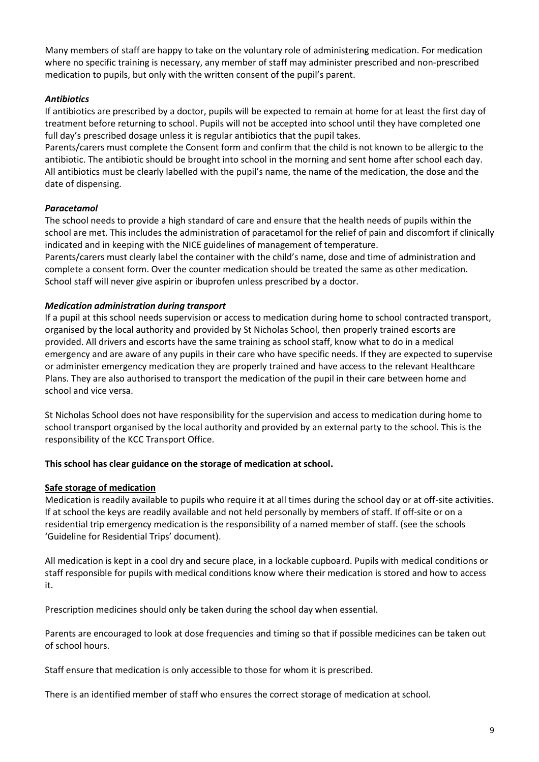Many members of staff are happy to take on the voluntary role of administering medication. For medication where no specific training is necessary, any member of staff may administer prescribed and non-prescribed medication to pupils, but only with the written consent of the pupil's parent.

# *Antibiotics*

If antibiotics are prescribed by a doctor, pupils will be expected to remain at home for at least the first day of treatment before returning to school. Pupils will not be accepted into school until they have completed one full day's prescribed dosage unless it is regular antibiotics that the pupil takes.

Parents/carers must complete the Consent form and confirm that the child is not known to be allergic to the antibiotic. The antibiotic should be brought into school in the morning and sent home after school each day. All antibiotics must be clearly labelled with the pupil's name, the name of the medication, the dose and the date of dispensing.

# *Paracetamol*

The school needs to provide a high standard of care and ensure that the health needs of pupils within the school are met. This includes the administration of paracetamol for the relief of pain and discomfort if clinically indicated and in keeping with the NICE guidelines of management of temperature.

Parents/carers must clearly label the container with the child's name, dose and time of administration and complete a consent form. Over the counter medication should be treated the same as other medication. School staff will never give aspirin or ibuprofen unless prescribed by a doctor.

### *Medication administration during transport*

If a pupil at this school needs supervision or access to medication during home to school contracted transport, organised by the local authority and provided by St Nicholas School, then properly trained escorts are provided. All drivers and escorts have the same training as school staff, know what to do in a medical emergency and are aware of any pupils in their care who have specific needs. If they are expected to supervise or administer emergency medication they are properly trained and have access to the relevant Healthcare Plans. They are also authorised to transport the medication of the pupil in their care between home and school and vice versa.

St Nicholas School does not have responsibility for the supervision and access to medication during home to school transport organised by the local authority and provided by an external party to the school. This is the responsibility of the KCC Transport Office.

### **This school has clear guidance on the storage of medication at school.**

### **Safe storage of medication**

Medication is readily available to pupils who require it at all times during the school day or at off-site activities. If at school the keys are readily available and not held personally by members of staff. If off-site or on a residential trip emergency medication is the responsibility of a named member of staff. (see the schools 'Guideline for Residential Trips' document).

All medication is kept in a cool dry and secure place, in a lockable cupboard. Pupils with medical conditions or staff responsible for pupils with medical conditions know where their medication is stored and how to access it.

Prescription medicines should only be taken during the school day when essential.

Parents are encouraged to look at dose frequencies and timing so that if possible medicines can be taken out of school hours.

Staff ensure that medication is only accessible to those for whom it is prescribed.

There is an identified member of staff who ensures the correct storage of medication at school.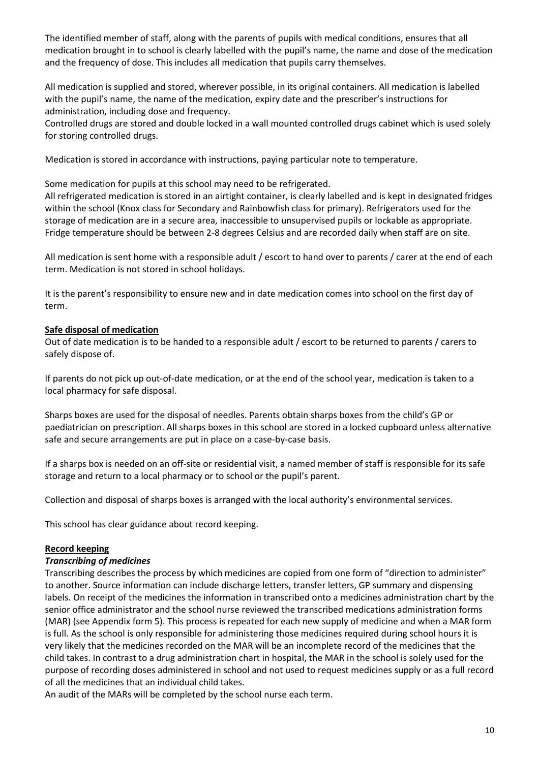The identified member of staff, along with the parents of pupils with medical conditions, ensures that all medication brought in to school is clearly labelled with the pupil's name, the name and dose of the medication and the frequency of dose. This includes all medication that pupils carry themselves.

All medication is supplied and stored, wherever possible, in its original containers. All medication is labelled with the pupil's name, the name of the medication, expiry date and the prescriber's instructions for administration, including dose and frequency.

Controlled drugs are stored and double locked in a wall mounted controlled drugs cabinet which is used solely for storing controlled drugs.

Medication is stored in accordance with instructions, paying particular note to temperature.

Some medication for pupils at this school may need to be refrigerated.

All refrigerated medication is stored in an airtight container, is clearly labelled and is kept in designated fridges within the school (Knox class for Secondary and Rainbowfish class for primary). Refrigerators used for the storage of medication are in a secure area, inaccessible to unsupervised pupils or lockable as appropriate. Fridge temperature should be between 2-8 degrees Celsius and are recorded daily when staff are on site.

All medication is sent home with a responsible adult / escort to hand over to parents / carer at the end of each term. Medication is not stored in school holidays.

It is the parent's responsibility to ensure new and in date medication comes into school on the first day of term.

### **Safe disposal of medication**

Out of date medication is to be handed to a responsible adult / escort to be returned to parents / carers to safely dispose of.

If parents do not pick up out-of-date medication, or at the end of the school year, medication is taken to a local pharmacy for safe disposal.

Sharps boxes are used for the disposal of needles. Parents obtain sharps boxes from the child's GP or paediatrician on prescription. All sharps boxes in this school are stored in a locked cupboard unless alternative safe and secure arrangements are put in place on a case-by-case basis.

If a sharps box is needed on an off-site or residential visit, a named member of staff is responsible for its safe storage and return to a local pharmacy or to school or the pupil's parent.

Collection and disposal of sharps boxes is arranged with the local authority's environmental services.

This school has clear guidance about record keeping.

### **Record keeping**

### *Transcribing of medicines*

Transcribing describes the process by which medicines are copied from one form of "direction to administer" to another. Source information can include discharge letters, transfer letters, GP summary and dispensing labels. On receipt of the medicines the information in transcribed onto a medicines administration chart by the senior office administrator and the school nurse reviewed the transcribed medications administration forms (MAR) (see Appendix form 5). This process is repeated for each new supply of medicine and when a MAR form is full. As the school is only responsible for administering those medicines required during school hours it is very likely that the medicines recorded on the MAR will be an incomplete record of the medicines that the child takes. In contrast to a drug administration chart in hospital, the MAR in the school is solely used for the purpose of recording doses administered in school and not used to request medicines supply or as a full record of all the medicines that an individual child takes.

An audit of the MARs will be completed by the school nurse each term.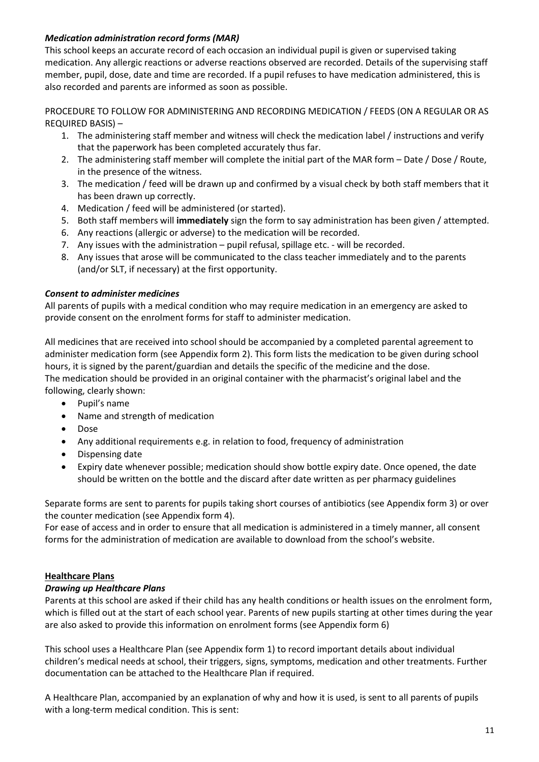# *Medication administration record forms (MAR)*

This school keeps an accurate record of each occasion an individual pupil is given or supervised taking medication. Any allergic reactions or adverse reactions observed are recorded. Details of the supervising staff member, pupil, dose, date and time are recorded. If a pupil refuses to have medication administered, this is also recorded and parents are informed as soon as possible.

PROCEDURE TO FOLLOW FOR ADMINISTERING AND RECORDING MEDICATION / FEEDS (ON A REGULAR OR AS REQUIRED BASIS) –

- 1. The administering staff member and witness will check the medication label / instructions and verify that the paperwork has been completed accurately thus far.
- 2. The administering staff member will complete the initial part of the MAR form Date / Dose / Route, in the presence of the witness.
- 3. The medication / feed will be drawn up and confirmed by a visual check by both staff members that it has been drawn up correctly.
- 4. Medication / feed will be administered (or started).
- 5. Both staff members will **immediately** sign the form to say administration has been given / attempted.
- 6. Any reactions (allergic or adverse) to the medication will be recorded.
- 7. Any issues with the administration pupil refusal, spillage etc. will be recorded.
- 8. Any issues that arose will be communicated to the class teacher immediately and to the parents (and/or SLT, if necessary) at the first opportunity.

# *Consent to administer medicines*

All parents of pupils with a medical condition who may require medication in an emergency are asked to provide consent on the enrolment forms for staff to administer medication.

All medicines that are received into school should be accompanied by a completed parental agreement to administer medication form (see Appendix form 2). This form lists the medication to be given during school hours, it is signed by the parent/guardian and details the specific of the medicine and the dose. The medication should be provided in an original container with the pharmacist's original label and the following, clearly shown:

- Pupil's name
- Name and strength of medication
- Dose
- Any additional requirements e.g. in relation to food, frequency of administration
- Dispensing date
- Expiry date whenever possible; medication should show bottle expiry date. Once opened, the date should be written on the bottle and the discard after date written as per pharmacy guidelines

Separate forms are sent to parents for pupils taking short courses of antibiotics (see Appendix form 3) or over the counter medication (see Appendix form 4).

For ease of access and in order to ensure that all medication is administered in a timely manner, all consent forms for the administration of medication are available to download from the school's website.

# **Healthcare Plans**

# *Drawing up Healthcare Plans*

Parents at this school are asked if their child has any health conditions or health issues on the enrolment form, which is filled out at the start of each school year. Parents of new pupils starting at other times during the year are also asked to provide this information on enrolment forms (see Appendix form 6)

This school uses a Healthcare Plan (see Appendix form 1) to record important details about individual children's medical needs at school, their triggers, signs, symptoms, medication and other treatments. Further documentation can be attached to the Healthcare Plan if required.

A Healthcare Plan, accompanied by an explanation of why and how it is used, is sent to all parents of pupils with a long-term medical condition. This is sent: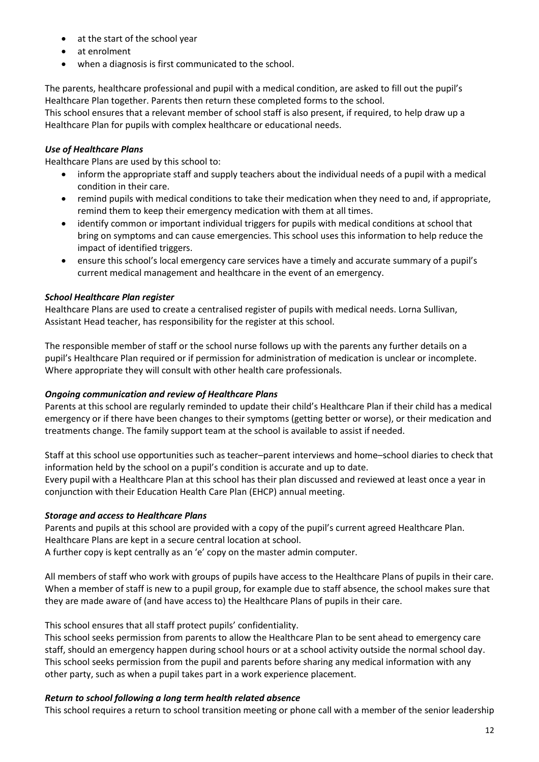- at the start of the school year
- at enrolment
- when a diagnosis is first communicated to the school.

The parents, healthcare professional and pupil with a medical condition, are asked to fill out the pupil's Healthcare Plan together. Parents then return these completed forms to the school.

This school ensures that a relevant member of school staff is also present, if required, to help draw up a Healthcare Plan for pupils with complex healthcare or educational needs.

# *Use of Healthcare Plans*

Healthcare Plans are used by this school to:

- inform the appropriate staff and supply teachers about the individual needs of a pupil with a medical condition in their care.
- remind pupils with medical conditions to take their medication when they need to and, if appropriate, remind them to keep their emergency medication with them at all times.
- identify common or important individual triggers for pupils with medical conditions at school that bring on symptoms and can cause emergencies. This school uses this information to help reduce the impact of identified triggers.
- ensure this school's local emergency care services have a timely and accurate summary of a pupil's current medical management and healthcare in the event of an emergency.

# *School Healthcare Plan register*

Healthcare Plans are used to create a centralised register of pupils with medical needs. Lorna Sullivan, Assistant Head teacher, has responsibility for the register at this school.

The responsible member of staff or the school nurse follows up with the parents any further details on a pupil's Healthcare Plan required or if permission for administration of medication is unclear or incomplete. Where appropriate they will consult with other health care professionals.

# *Ongoing communication and review of Healthcare Plans*

Parents at this school are regularly reminded to update their child's Healthcare Plan if their child has a medical emergency or if there have been changes to their symptoms (getting better or worse), or their medication and treatments change. The family support team at the school is available to assist if needed.

Staff at this school use opportunities such as teacher–parent interviews and home–school diaries to check that information held by the school on a pupil's condition is accurate and up to date. Every pupil with a Healthcare Plan at this school has their plan discussed and reviewed at least once a year in conjunction with their Education Health Care Plan (EHCP) annual meeting.

# *Storage and access to Healthcare Plans*

Parents and pupils at this school are provided with a copy of the pupil's current agreed Healthcare Plan. Healthcare Plans are kept in a secure central location at school.

A further copy is kept centrally as an 'e' copy on the master admin computer.

All members of staff who work with groups of pupils have access to the Healthcare Plans of pupils in their care. When a member of staff is new to a pupil group, for example due to staff absence, the school makes sure that they are made aware of (and have access to) the Healthcare Plans of pupils in their care.

This school ensures that all staff protect pupils' confidentiality.

This school seeks permission from parents to allow the Healthcare Plan to be sent ahead to emergency care staff, should an emergency happen during school hours or at a school activity outside the normal school day. This school seeks permission from the pupil and parents before sharing any medical information with any other party, such as when a pupil takes part in a work experience placement.

# *Return to school following a long term health related absence*

This school requires a return to school transition meeting or phone call with a member of the senior leadership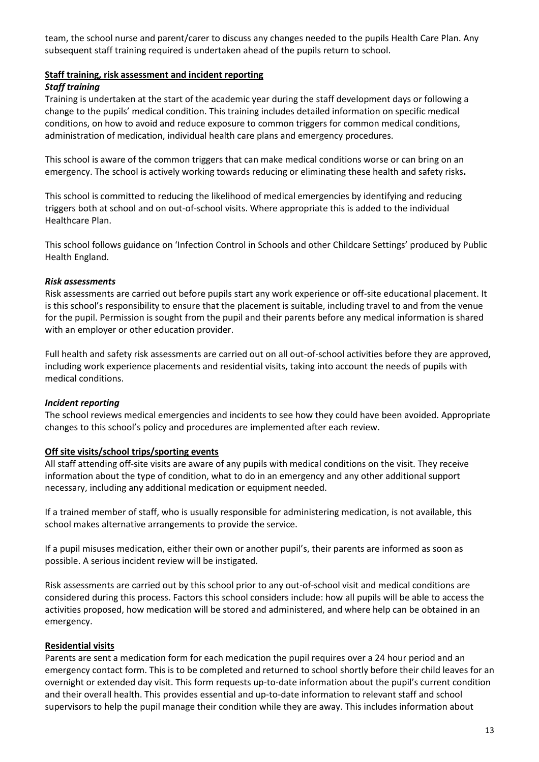team, the school nurse and parent/carer to discuss any changes needed to the pupils Health Care Plan. Any subsequent staff training required is undertaken ahead of the pupils return to school.

### **Staff training, risk assessment and incident reporting** *Staff training*

Training is undertaken at the start of the academic year during the staff development days or following a change to the pupils' medical condition. This training includes detailed information on specific medical conditions, on how to avoid and reduce exposure to common triggers for common medical conditions, administration of medication, individual health care plans and emergency procedures.

This school is aware of the common triggers that can make medical conditions worse or can bring on an emergency. The school is actively working towards reducing or eliminating these health and safety risks**.** 

This school is committed to reducing the likelihood of medical emergencies by identifying and reducing triggers both at school and on out-of-school visits. Where appropriate this is added to the individual Healthcare Plan.

This school follows guidance on 'Infection Control in Schools and other Childcare Settings' produced by Public Health England.

# *Risk assessments*

Risk assessments are carried out before pupils start any work experience or off-site educational placement. It is this school's responsibility to ensure that the placement is suitable, including travel to and from the venue for the pupil. Permission is sought from the pupil and their parents before any medical information is shared with an employer or other education provider.

Full health and safety risk assessments are carried out on all out-of-school activities before they are approved, including work experience placements and residential visits, taking into account the needs of pupils with medical conditions.

### *Incident reporting*

The school reviews medical emergencies and incidents to see how they could have been avoided. Appropriate changes to this school's policy and procedures are implemented after each review.

# **Off site visits/school trips/sporting events**

All staff attending off-site visits are aware of any pupils with medical conditions on the visit. They receive information about the type of condition, what to do in an emergency and any other additional support necessary, including any additional medication or equipment needed.

If a trained member of staff, who is usually responsible for administering medication, is not available, this school makes alternative arrangements to provide the service.

If a pupil misuses medication, either their own or another pupil's, their parents are informed as soon as possible. A serious incident review will be instigated.

Risk assessments are carried out by this school prior to any out-of-school visit and medical conditions are considered during this process. Factors this school considers include: how all pupils will be able to access the activities proposed, how medication will be stored and administered, and where help can be obtained in an emergency.

# **Residential visits**

Parents are sent a medication form for each medication the pupil requires over a 24 hour period and an emergency contact form. This is to be completed and returned to school shortly before their child leaves for an overnight or extended day visit. This form requests up-to-date information about the pupil's current condition and their overall health. This provides essential and up-to-date information to relevant staff and school supervisors to help the pupil manage their condition while they are away. This includes information about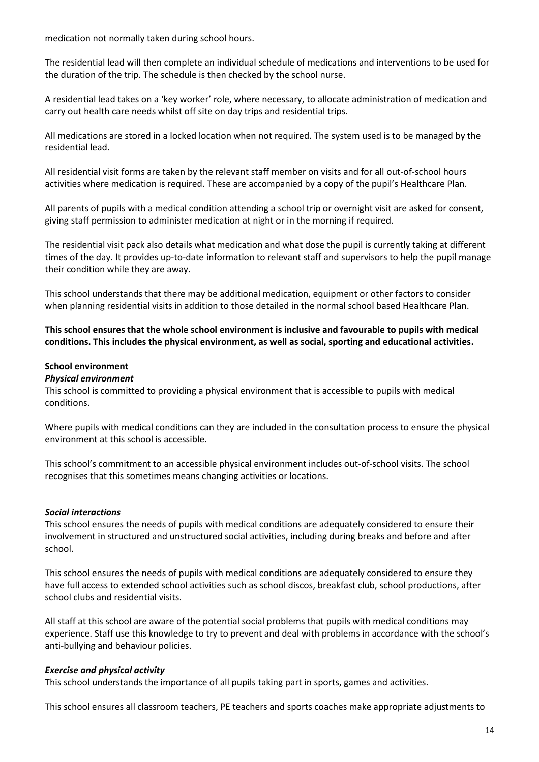medication not normally taken during school hours.

The residential lead will then complete an individual schedule of medications and interventions to be used for the duration of the trip. The schedule is then checked by the school nurse.

A residential lead takes on a 'key worker' role, where necessary, to allocate administration of medication and carry out health care needs whilst off site on day trips and residential trips.

All medications are stored in a locked location when not required. The system used is to be managed by the residential lead.

All residential visit forms are taken by the relevant staff member on visits and for all out-of-school hours activities where medication is required. These are accompanied by a copy of the pupil's Healthcare Plan.

All parents of pupils with a medical condition attending a school trip or overnight visit are asked for consent, giving staff permission to administer medication at night or in the morning if required.

The residential visit pack also details what medication and what dose the pupil is currently taking at different times of the day. It provides up-to-date information to relevant staff and supervisors to help the pupil manage their condition while they are away.

This school understands that there may be additional medication, equipment or other factors to consider when planning residential visits in addition to those detailed in the normal school based Healthcare Plan.

**This school ensures that the whole school environment is inclusive and favourable to pupils with medical conditions. This includes the physical environment, as well as social, sporting and educational activities.**

# **School environment**

#### *Physical environment*

This school is committed to providing a physical environment that is accessible to pupils with medical conditions.

Where pupils with medical conditions can they are included in the consultation process to ensure the physical environment at this school is accessible.

This school's commitment to an accessible physical environment includes out-of-school visits. The school recognises that this sometimes means changing activities or locations.

### *Social interactions*

This school ensures the needs of pupils with medical conditions are adequately considered to ensure their involvement in structured and unstructured social activities, including during breaks and before and after school.

This school ensures the needs of pupils with medical conditions are adequately considered to ensure they have full access to extended school activities such as school discos, breakfast club, school productions, after school clubs and residential visits.

All staff at this school are aware of the potential social problems that pupils with medical conditions may experience. Staff use this knowledge to try to prevent and deal with problems in accordance with the school's anti-bullying and behaviour policies.

### *Exercise and physical activity*

This school understands the importance of all pupils taking part in sports, games and activities.

This school ensures all classroom teachers, PE teachers and sports coaches make appropriate adjustments to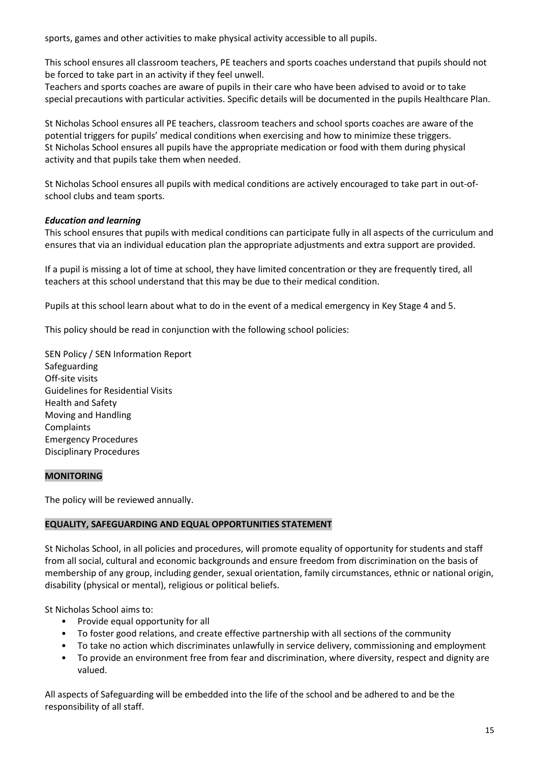sports, games and other activities to make physical activity accessible to all pupils.

This school ensures all classroom teachers, PE teachers and sports coaches understand that pupils should not be forced to take part in an activity if they feel unwell.

Teachers and sports coaches are aware of pupils in their care who have been advised to avoid or to take special precautions with particular activities. Specific details will be documented in the pupils Healthcare Plan.

St Nicholas School ensures all PE teachers, classroom teachers and school sports coaches are aware of the potential triggers for pupils' medical conditions when exercising and how to minimize these triggers. St Nicholas School ensures all pupils have the appropriate medication or food with them during physical activity and that pupils take them when needed.

St Nicholas School ensures all pupils with medical conditions are actively encouraged to take part in out-ofschool clubs and team sports.

### *Education and learning*

This school ensures that pupils with medical conditions can participate fully in all aspects of the curriculum and ensures that via an individual education plan the appropriate adjustments and extra support are provided.

If a pupil is missing a lot of time at school, they have limited concentration or they are frequently tired, all teachers at this school understand that this may be due to their medical condition.

Pupils at this school learn about what to do in the event of a medical emergency in Key Stage 4 and 5.

This policy should be read in conjunction with the following school policies:

SEN Policy / SEN Information Report Safeguarding Off-site visits Guidelines for Residential Visits Health and Safety Moving and Handling **Complaints** Emergency Procedures Disciplinary Procedures

### **MONITORING**

The policy will be reviewed annually.

### **EQUALITY, SAFEGUARDING AND EQUAL OPPORTUNITIES STATEMENT**

St Nicholas School, in all policies and procedures, will promote equality of opportunity for students and staff from all social, cultural and economic backgrounds and ensure freedom from discrimination on the basis of membership of any group, including gender, sexual orientation, family circumstances, ethnic or national origin, disability (physical or mental), religious or political beliefs.

St Nicholas School aims to:

- Provide equal opportunity for all
- To foster good relations, and create effective partnership with all sections of the community
- To take no action which discriminates unlawfully in service delivery, commissioning and employment
- To provide an environment free from fear and discrimination, where diversity, respect and dignity are valued.

All aspects of Safeguarding will be embedded into the life of the school and be adhered to and be the responsibility of all staff.